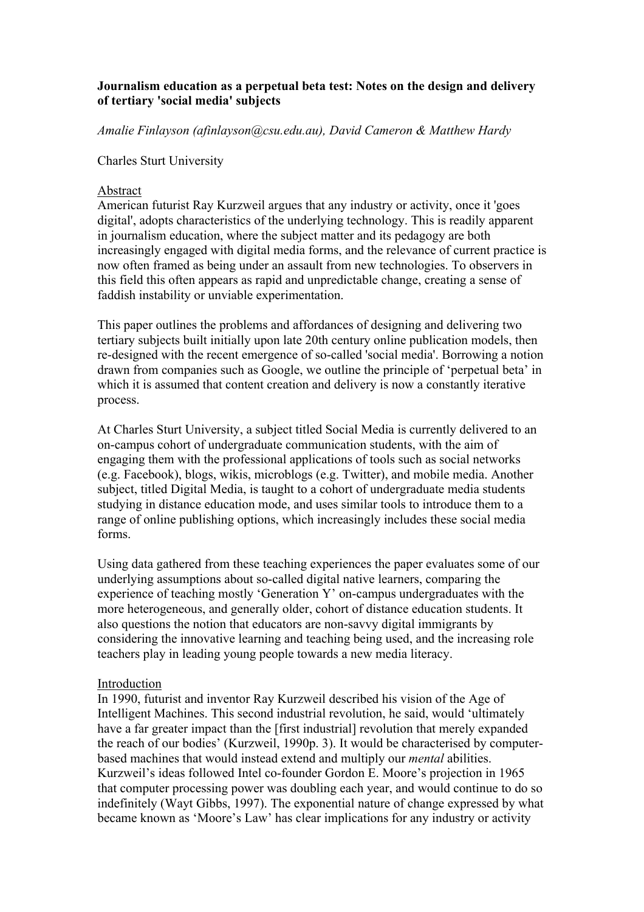# **Journalism education as a perpetual beta test: Notes on the design and delivery of tertiary 'social media' subjects**

*Amalie Finlayson (afinlayson@csu.edu.au), David Cameron & Matthew Hardy*

### Charles Sturt University

### Abstract

American futurist Ray Kurzweil argues that any industry or activity, once it 'goes digital', adopts characteristics of the underlying technology. This is readily apparent in journalism education, where the subject matter and its pedagogy are both increasingly engaged with digital media forms, and the relevance of current practice is now often framed as being under an assault from new technologies. To observers in this field this often appears as rapid and unpredictable change, creating a sense of faddish instability or unviable experimentation.

This paper outlines the problems and affordances of designing and delivering two tertiary subjects built initially upon late 20th century online publication models, then re-designed with the recent emergence of so-called 'social media'. Borrowing a notion drawn from companies such as Google, we outline the principle of 'perpetual beta' in which it is assumed that content creation and delivery is now a constantly iterative process.

At Charles Sturt University, a subject titled Social Media is currently delivered to an on-campus cohort of undergraduate communication students, with the aim of engaging them with the professional applications of tools such as social networks (e.g. Facebook), blogs, wikis, microblogs (e.g. Twitter), and mobile media. Another subject, titled Digital Media, is taught to a cohort of undergraduate media students studying in distance education mode, and uses similar tools to introduce them to a range of online publishing options, which increasingly includes these social media forms.

Using data gathered from these teaching experiences the paper evaluates some of our underlying assumptions about so-called digital native learners, comparing the experience of teaching mostly 'Generation Y' on-campus undergraduates with the more heterogeneous, and generally older, cohort of distance education students. It also questions the notion that educators are non-savvy digital immigrants by considering the innovative learning and teaching being used, and the increasing role teachers play in leading young people towards a new media literacy.

### Introduction

In 1990, futurist and inventor Ray Kurzweil described his vision of the Age of Intelligent Machines. This second industrial revolution, he said, would 'ultimately have a far greater impact than the [first industrial] revolution that merely expanded the reach of our bodies' (Kurzweil, 1990p. 3). It would be characterised by computerbased machines that would instead extend and multiply our *mental* abilities. Kurzweil's ideas followed Intel co-founder Gordon E. Moore's projection in 1965 that computer processing power was doubling each year, and would continue to do so indefinitely (Wayt Gibbs, 1997). The exponential nature of change expressed by what became known as 'Moore's Law' has clear implications for any industry or activity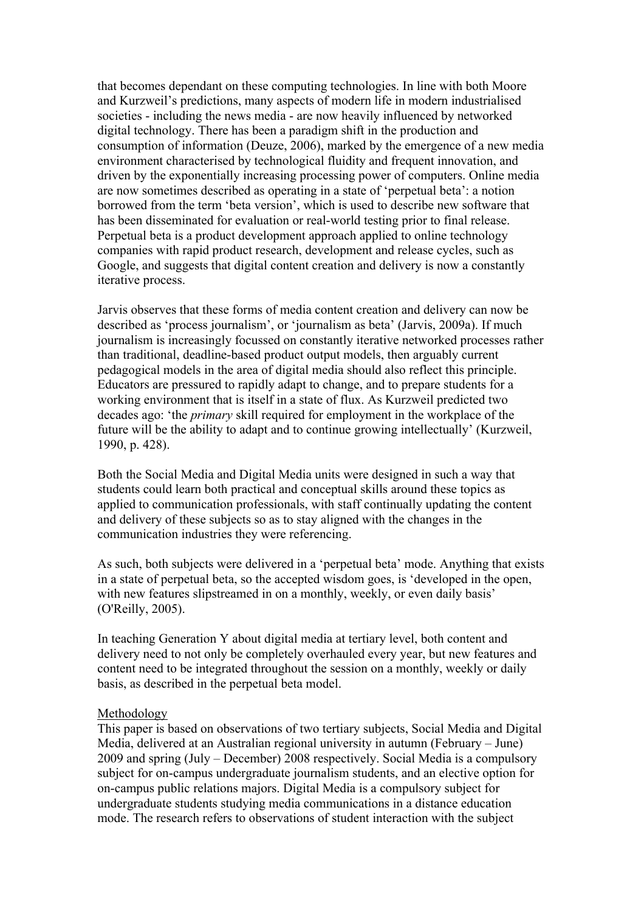that becomes dependant on these computing technologies. In line with both Moore and Kurzweil's predictions, many aspects of modern life in modern industrialised societies - including the news media - are now heavily influenced by networked digital technology. There has been a paradigm shift in the production and consumption of information (Deuze, 2006), marked by the emergence of a new media environment characterised by technological fluidity and frequent innovation, and driven by the exponentially increasing processing power of computers. Online media are now sometimes described as operating in a state of 'perpetual beta': a notion borrowed from the term 'beta version', which is used to describe new software that has been disseminated for evaluation or real-world testing prior to final release. Perpetual beta is a product development approach applied to online technology companies with rapid product research, development and release cycles, such as Google, and suggests that digital content creation and delivery is now a constantly iterative process.

Jarvis observes that these forms of media content creation and delivery can now be described as 'process journalism', or 'journalism as beta' (Jarvis, 2009a). If much journalism is increasingly focussed on constantly iterative networked processes rather than traditional, deadline-based product output models, then arguably current pedagogical models in the area of digital media should also reflect this principle. Educators are pressured to rapidly adapt to change, and to prepare students for a working environment that is itself in a state of flux. As Kurzweil predicted two decades ago: 'the *primary* skill required for employment in the workplace of the future will be the ability to adapt and to continue growing intellectually' (Kurzweil, 1990, p. 428).

Both the Social Media and Digital Media units were designed in such a way that students could learn both practical and conceptual skills around these topics as applied to communication professionals, with staff continually updating the content and delivery of these subjects so as to stay aligned with the changes in the communication industries they were referencing.

As such, both subjects were delivered in a 'perpetual beta' mode. Anything that exists in a state of perpetual beta, so the accepted wisdom goes, is 'developed in the open, with new features slipstreamed in on a monthly, weekly, or even daily basis' (O'Reilly, 2005).

In teaching Generation Y about digital media at tertiary level, both content and delivery need to not only be completely overhauled every year, but new features and content need to be integrated throughout the session on a monthly, weekly or daily basis, as described in the perpetual beta model.

### Methodology

This paper is based on observations of two tertiary subjects, Social Media and Digital Media, delivered at an Australian regional university in autumn (February – June) 2009 and spring (July – December) 2008 respectively. Social Media is a compulsory subject for on-campus undergraduate journalism students, and an elective option for on-campus public relations majors. Digital Media is a compulsory subject for undergraduate students studying media communications in a distance education mode. The research refers to observations of student interaction with the subject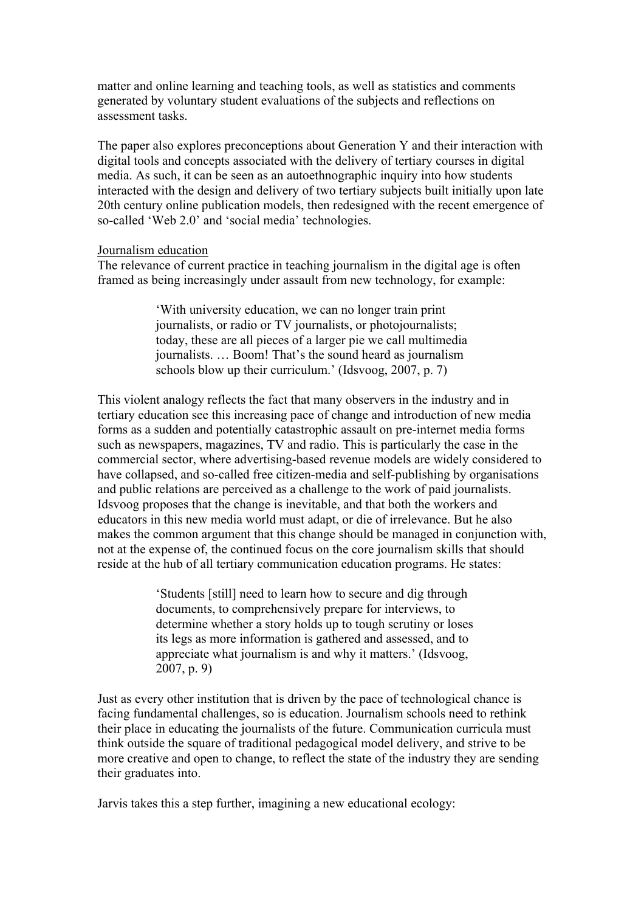matter and online learning and teaching tools, as well as statistics and comments generated by voluntary student evaluations of the subjects and reflections on assessment tasks.

The paper also explores preconceptions about Generation Y and their interaction with digital tools and concepts associated with the delivery of tertiary courses in digital media. As such, it can be seen as an autoethnographic inquiry into how students interacted with the design and delivery of two tertiary subjects built initially upon late 20th century online publication models, then redesigned with the recent emergence of so-called 'Web 2.0' and 'social media' technologies.

### Journalism education

The relevance of current practice in teaching journalism in the digital age is often framed as being increasingly under assault from new technology, for example:

> 'With university education, we can no longer train print journalists, or radio or TV journalists, or photojournalists; today, these are all pieces of a larger pie we call multimedia journalists. … Boom! That's the sound heard as journalism schools blow up their curriculum.' (Idsvoog, 2007, p. 7)

This violent analogy reflects the fact that many observers in the industry and in tertiary education see this increasing pace of change and introduction of new media forms as a sudden and potentially catastrophic assault on pre-internet media forms such as newspapers, magazines, TV and radio. This is particularly the case in the commercial sector, where advertising-based revenue models are widely considered to have collapsed, and so-called free citizen-media and self-publishing by organisations and public relations are perceived as a challenge to the work of paid journalists. Idsvoog proposes that the change is inevitable, and that both the workers and educators in this new media world must adapt, or die of irrelevance. But he also makes the common argument that this change should be managed in conjunction with, not at the expense of, the continued focus on the core journalism skills that should reside at the hub of all tertiary communication education programs. He states:

> 'Students [still] need to learn how to secure and dig through documents, to comprehensively prepare for interviews, to determine whether a story holds up to tough scrutiny or loses its legs as more information is gathered and assessed, and to appreciate what journalism is and why it matters.' (Idsvoog, 2007, p. 9)

Just as every other institution that is driven by the pace of technological chance is facing fundamental challenges, so is education. Journalism schools need to rethink their place in educating the journalists of the future. Communication curricula must think outside the square of traditional pedagogical model delivery, and strive to be more creative and open to change, to reflect the state of the industry they are sending their graduates into.

Jarvis takes this a step further, imagining a new educational ecology: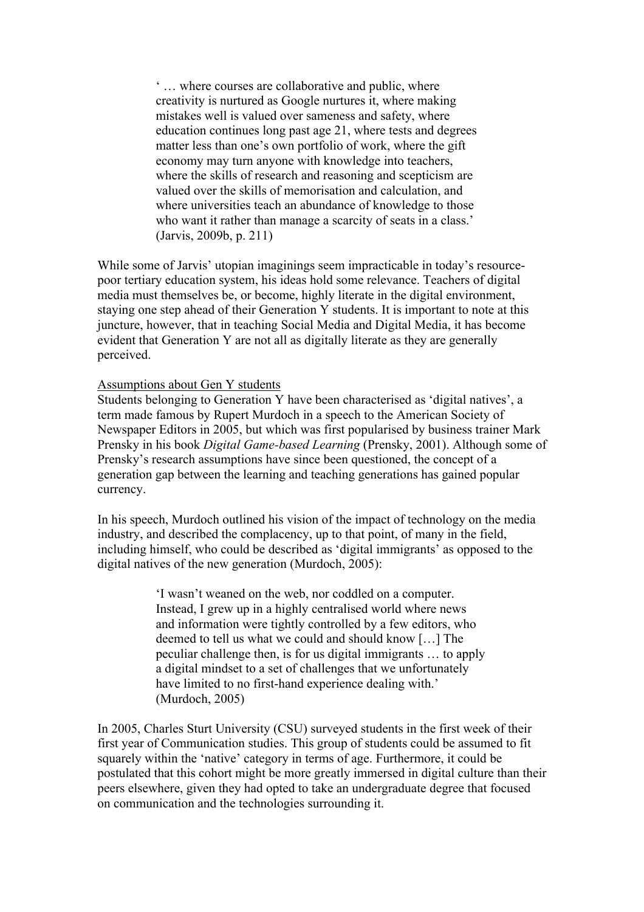' … where courses are collaborative and public, where creativity is nurtured as Google nurtures it, where making mistakes well is valued over sameness and safety, where education continues long past age 21, where tests and degrees matter less than one's own portfolio of work, where the gift economy may turn anyone with knowledge into teachers, where the skills of research and reasoning and scepticism are valued over the skills of memorisation and calculation, and where universities teach an abundance of knowledge to those who want it rather than manage a scarcity of seats in a class.' (Jarvis, 2009b, p. 211)

While some of Jarvis' utopian imaginings seem impracticable in today's resourcepoor tertiary education system, his ideas hold some relevance. Teachers of digital media must themselves be, or become, highly literate in the digital environment, staying one step ahead of their Generation Y students. It is important to note at this juncture, however, that in teaching Social Media and Digital Media, it has become evident that Generation Y are not all as digitally literate as they are generally perceived.

### Assumptions about Gen Y students

Students belonging to Generation Y have been characterised as 'digital natives', a term made famous by Rupert Murdoch in a speech to the American Society of Newspaper Editors in 2005, but which was first popularised by business trainer Mark Prensky in his book *Digital Game-based Learning* (Prensky, 2001). Although some of Prensky's research assumptions have since been questioned, the concept of a generation gap between the learning and teaching generations has gained popular currency.

In his speech, Murdoch outlined his vision of the impact of technology on the media industry, and described the complacency, up to that point, of many in the field, including himself, who could be described as 'digital immigrants' as opposed to the digital natives of the new generation (Murdoch, 2005):

> 'I wasn't weaned on the web, nor coddled on a computer. Instead, I grew up in a highly centralised world where news and information were tightly controlled by a few editors, who deemed to tell us what we could and should know […] The peculiar challenge then, is for us digital immigrants … to apply a digital mindset to a set of challenges that we unfortunately have limited to no first-hand experience dealing with.' (Murdoch, 2005)

In 2005, Charles Sturt University (CSU) surveyed students in the first week of their first year of Communication studies. This group of students could be assumed to fit squarely within the 'native' category in terms of age. Furthermore, it could be postulated that this cohort might be more greatly immersed in digital culture than their peers elsewhere, given they had opted to take an undergraduate degree that focused on communication and the technologies surrounding it.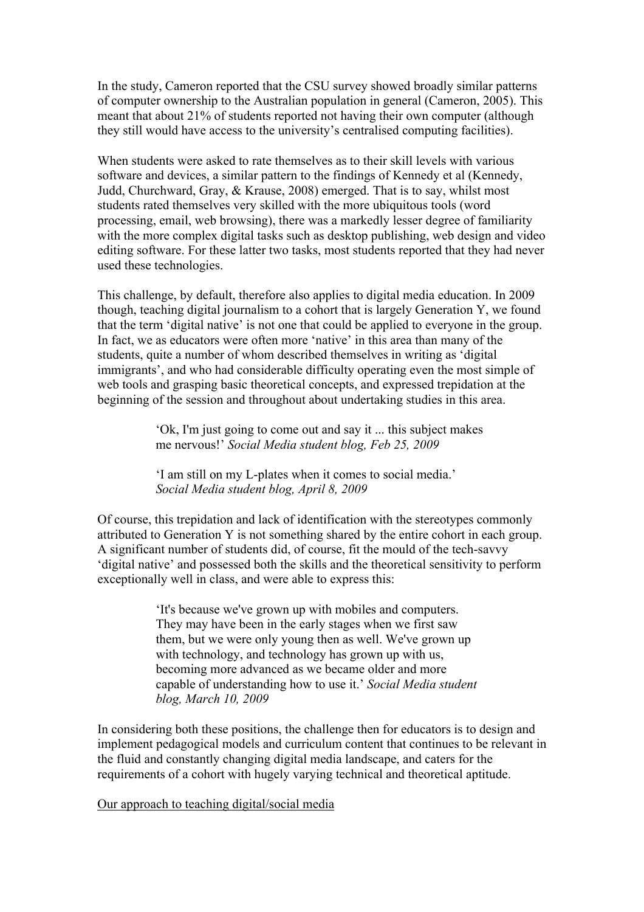In the study, Cameron reported that the CSU survey showed broadly similar patterns of computer ownership to the Australian population in general (Cameron, 2005). This meant that about 21% of students reported not having their own computer (although they still would have access to the university's centralised computing facilities).

When students were asked to rate themselves as to their skill levels with various software and devices, a similar pattern to the findings of Kennedy et al (Kennedy, Judd, Churchward, Gray, & Krause, 2008) emerged. That is to say, whilst most students rated themselves very skilled with the more ubiquitous tools (word processing, email, web browsing), there was a markedly lesser degree of familiarity with the more complex digital tasks such as desktop publishing, web design and video editing software. For these latter two tasks, most students reported that they had never used these technologies.

This challenge, by default, therefore also applies to digital media education. In 2009 though, teaching digital journalism to a cohort that is largely Generation Y, we found that the term 'digital native' is not one that could be applied to everyone in the group. In fact, we as educators were often more 'native' in this area than many of the students, quite a number of whom described themselves in writing as 'digital immigrants', and who had considerable difficulty operating even the most simple of web tools and grasping basic theoretical concepts, and expressed trepidation at the beginning of the session and throughout about undertaking studies in this area.

> 'Ok, I'm just going to come out and say it ... this subject makes me nervous!' *Social Media student blog, Feb 25, 2009*

'I am still on my L-plates when it comes to social media.' *Social Media student blog, April 8, 2009*

Of course, this trepidation and lack of identification with the stereotypes commonly attributed to Generation Y is not something shared by the entire cohort in each group. A significant number of students did, of course, fit the mould of the tech-savvy 'digital native' and possessed both the skills and the theoretical sensitivity to perform exceptionally well in class, and were able to express this:

> 'It's because we've grown up with mobiles and computers. They may have been in the early stages when we first saw them, but we were only young then as well. We've grown up with technology, and technology has grown up with us, becoming more advanced as we became older and more capable of understanding how to use it.' *Social Media student blog, March 10, 2009*

In considering both these positions, the challenge then for educators is to design and implement pedagogical models and curriculum content that continues to be relevant in the fluid and constantly changing digital media landscape, and caters for the requirements of a cohort with hugely varying technical and theoretical aptitude.

Our approach to teaching digital/social media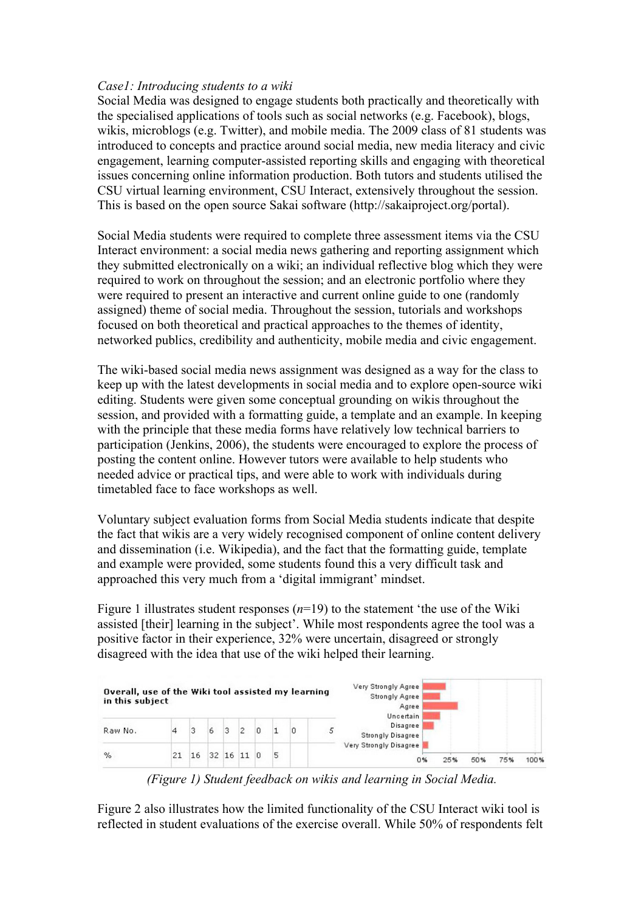# *Case1: Introducing students to a wiki*

Social Media was designed to engage students both practically and theoretically with the specialised applications of tools such as social networks (e.g. Facebook), blogs, wikis, microblogs (e.g. Twitter), and mobile media. The 2009 class of 81 students was introduced to concepts and practice around social media, new media literacy and civic engagement, learning computer-assisted reporting skills and engaging with theoretical issues concerning online information production. Both tutors and students utilised the CSU virtual learning environment, CSU Interact, extensively throughout the session. This is based on the open source Sakai software (http://sakaiproject.org/portal).

Social Media students were required to complete three assessment items via the CSU Interact environment: a social media news gathering and reporting assignment which they submitted electronically on a wiki; an individual reflective blog which they were required to work on throughout the session; and an electronic portfolio where they were required to present an interactive and current online guide to one (randomly assigned) theme of social media. Throughout the session, tutorials and workshops focused on both theoretical and practical approaches to the themes of identity, networked publics, credibility and authenticity, mobile media and civic engagement.

The wiki-based social media news assignment was designed as a way for the class to keep up with the latest developments in social media and to explore open-source wiki editing. Students were given some conceptual grounding on wikis throughout the session, and provided with a formatting guide, a template and an example. In keeping with the principle that these media forms have relatively low technical barriers to participation (Jenkins, 2006), the students were encouraged to explore the process of posting the content online. However tutors were available to help students who needed advice or practical tips, and were able to work with individuals during timetabled face to face workshops as well.

Voluntary subject evaluation forms from Social Media students indicate that despite the fact that wikis are a very widely recognised component of online content delivery and dissemination (i.e. Wikipedia), and the fact that the formatting guide, template and example were provided, some students found this a very difficult task and approached this very much from a 'digital immigrant' mindset.

Figure 1 illustrates student responses (*n*=19) to the statement 'the use of the Wiki assisted [their] learning in the subject'. While most respondents agree the tool was a positive factor in their experience, 32% were uncertain, disagreed or strongly disagreed with the idea that use of the wiki helped their learning.



*(Figure 1) Student feedback on wikis and learning in Social Media.*

Figure 2 also illustrates how the limited functionality of the CSU Interact wiki tool is reflected in student evaluations of the exercise overall. While 50% of respondents felt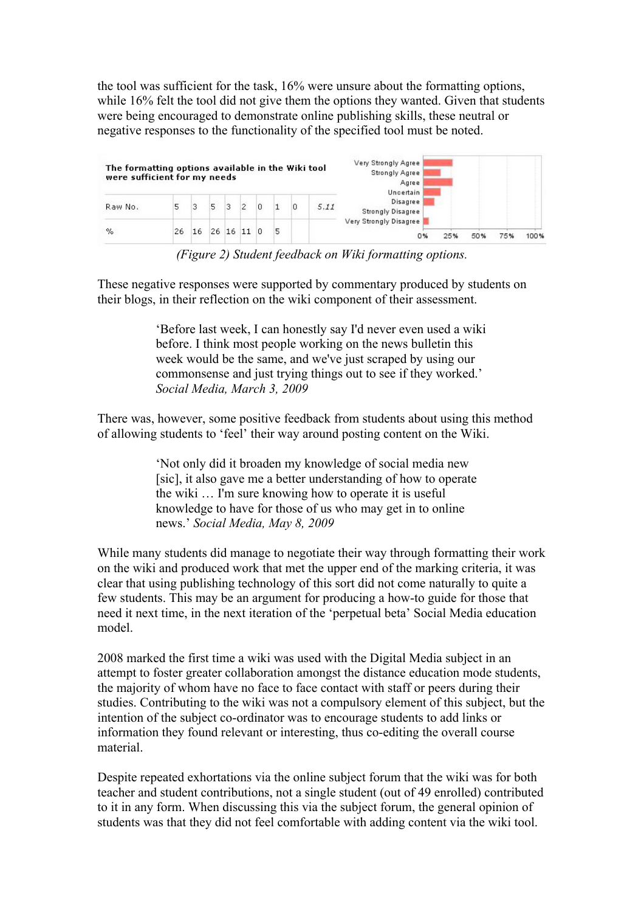the tool was sufficient for the task, 16% were unsure about the formatting options, while 16% felt the tool did not give them the options they wanted. Given that students were being encouraged to demonstrate online publishing skills, these neutral or negative responses to the functionality of the specified tool must be noted.

| The formatting options available in the Wiki tool<br>were sufficient for my needs |    |    |    |   |           |   | Very Strongly Agree<br><b>Strongly Agree</b><br>Agree<br>Uncertain |   |      |                                      |      |     |     |      |
|-----------------------------------------------------------------------------------|----|----|----|---|-----------|---|--------------------------------------------------------------------|---|------|--------------------------------------|------|-----|-----|------|
| Raw No.                                                                           | 5  | 3  | 5  | з | 2         | 0 |                                                                    | Ю | 5.11 | Disagree<br><b>Strongly Disagree</b> |      |     |     |      |
| %                                                                                 | 26 | 16 | 26 |   | $16$ 11 0 |   | 5                                                                  |   |      | Very Strongly Disagree<br>0%         | 25 % | 50% | 75% | 100% |

*(Figure 2) Student feedback on Wiki formatting options.*

These negative responses were supported by commentary produced by students on their blogs, in their reflection on the wiki component of their assessment.

> 'Before last week, I can honestly say I'd never even used a wiki before. I think most people working on the news bulletin this week would be the same, and we've just scraped by using our commonsense and just trying things out to see if they worked.' *Social Media, March 3, 2009*

There was, however, some positive feedback from students about using this method of allowing students to 'feel' their way around posting content on the Wiki.

> 'Not only did it broaden my knowledge of social media new [sic], it also gave me a better understanding of how to operate the wiki … I'm sure knowing how to operate it is useful knowledge to have for those of us who may get in to online news.' *Social Media, May 8, 2009*

While many students did manage to negotiate their way through formatting their work on the wiki and produced work that met the upper end of the marking criteria, it was clear that using publishing technology of this sort did not come naturally to quite a few students. This may be an argument for producing a how-to guide for those that need it next time, in the next iteration of the 'perpetual beta' Social Media education model.

2008 marked the first time a wiki was used with the Digital Media subject in an attempt to foster greater collaboration amongst the distance education mode students, the majority of whom have no face to face contact with staff or peers during their studies. Contributing to the wiki was not a compulsory element of this subject, but the intention of the subject co-ordinator was to encourage students to add links or information they found relevant or interesting, thus co-editing the overall course material.

Despite repeated exhortations via the online subject forum that the wiki was for both teacher and student contributions, not a single student (out of 49 enrolled) contributed to it in any form. When discussing this via the subject forum, the general opinion of students was that they did not feel comfortable with adding content via the wiki tool.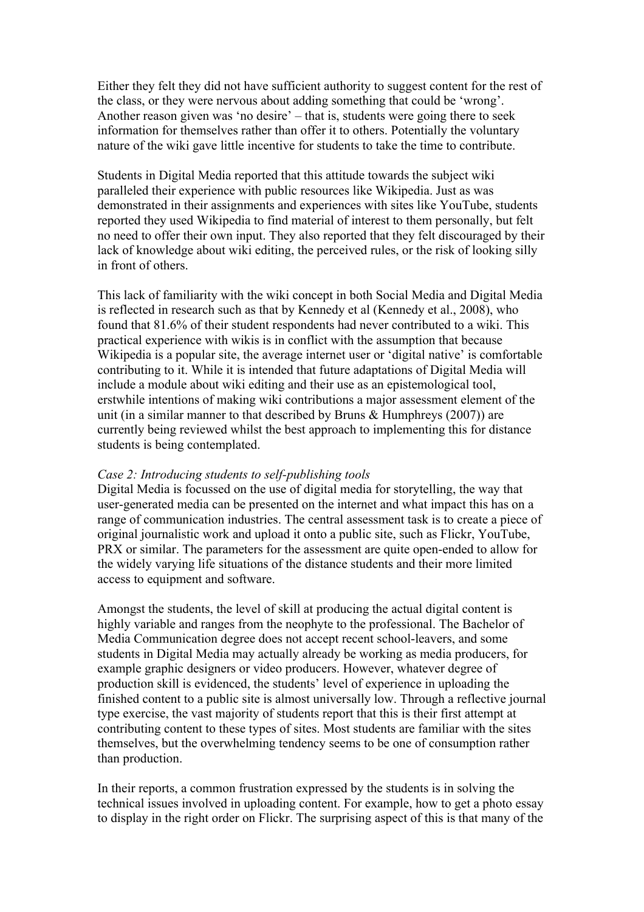Either they felt they did not have sufficient authority to suggest content for the rest of the class, or they were nervous about adding something that could be 'wrong'. Another reason given was 'no desire' – that is, students were going there to seek information for themselves rather than offer it to others. Potentially the voluntary nature of the wiki gave little incentive for students to take the time to contribute.

Students in Digital Media reported that this attitude towards the subject wiki paralleled their experience with public resources like Wikipedia. Just as was demonstrated in their assignments and experiences with sites like YouTube, students reported they used Wikipedia to find material of interest to them personally, but felt no need to offer their own input. They also reported that they felt discouraged by their lack of knowledge about wiki editing, the perceived rules, or the risk of looking silly in front of others.

This lack of familiarity with the wiki concept in both Social Media and Digital Media is reflected in research such as that by Kennedy et al (Kennedy et al., 2008), who found that 81.6% of their student respondents had never contributed to a wiki. This practical experience with wikis is in conflict with the assumption that because Wikipedia is a popular site, the average internet user or 'digital native' is comfortable contributing to it. While it is intended that future adaptations of Digital Media will include a module about wiki editing and their use as an epistemological tool, erstwhile intentions of making wiki contributions a major assessment element of the unit (in a similar manner to that described by Bruns  $&$  Humphreys (2007)) are currently being reviewed whilst the best approach to implementing this for distance students is being contemplated.

### *Case 2: Introducing students to self-publishing tools*

Digital Media is focussed on the use of digital media for storytelling, the way that user-generated media can be presented on the internet and what impact this has on a range of communication industries. The central assessment task is to create a piece of original journalistic work and upload it onto a public site, such as Flickr, YouTube, PRX or similar. The parameters for the assessment are quite open-ended to allow for the widely varying life situations of the distance students and their more limited access to equipment and software.

Amongst the students, the level of skill at producing the actual digital content is highly variable and ranges from the neophyte to the professional. The Bachelor of Media Communication degree does not accept recent school-leavers, and some students in Digital Media may actually already be working as media producers, for example graphic designers or video producers. However, whatever degree of production skill is evidenced, the students' level of experience in uploading the finished content to a public site is almost universally low. Through a reflective journal type exercise, the vast majority of students report that this is their first attempt at contributing content to these types of sites. Most students are familiar with the sites themselves, but the overwhelming tendency seems to be one of consumption rather than production.

In their reports, a common frustration expressed by the students is in solving the technical issues involved in uploading content. For example, how to get a photo essay to display in the right order on Flickr. The surprising aspect of this is that many of the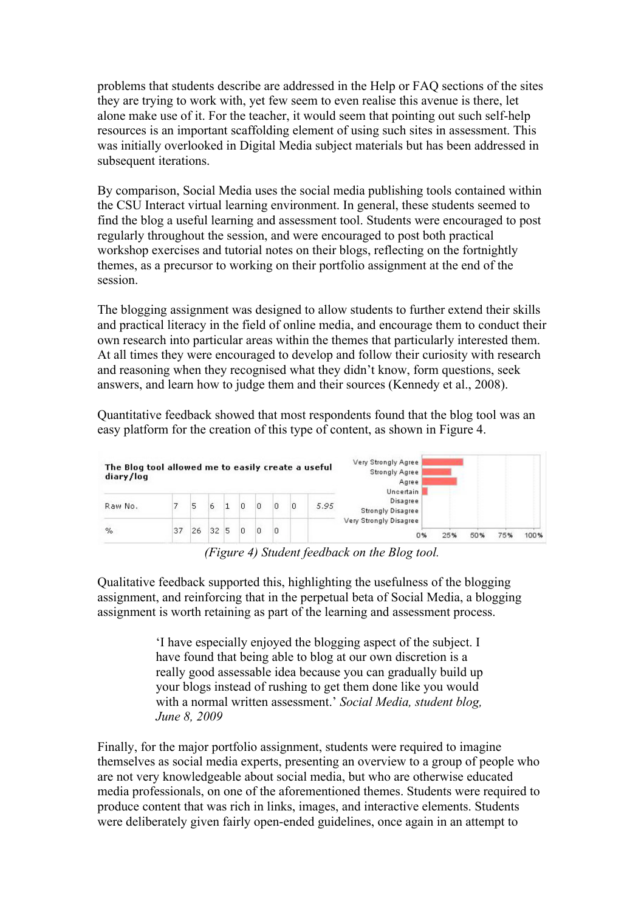problems that students describe are addressed in the Help or FAQ sections of the sites they are trying to work with, yet few seem to even realise this avenue is there, let alone make use of it. For the teacher, it would seem that pointing out such self-help resources is an important scaffolding element of using such sites in assessment. This was initially overlooked in Digital Media subject materials but has been addressed in subsequent iterations.

By comparison, Social Media uses the social media publishing tools contained within the CSU Interact virtual learning environment. In general, these students seemed to find the blog a useful learning and assessment tool. Students were encouraged to post regularly throughout the session, and were encouraged to post both practical workshop exercises and tutorial notes on their blogs, reflecting on the fortnightly themes, as a precursor to working on their portfolio assignment at the end of the session.

The blogging assignment was designed to allow students to further extend their skills and practical literacy in the field of online media, and encourage them to conduct their own research into particular areas within the themes that particularly interested them. At all times they were encouraged to develop and follow their curiosity with research and reasoning when they recognised what they didn't know, form questions, seek answers, and learn how to judge them and their sources (Kennedy et al., 2008).

Quantitative feedback showed that most respondents found that the blog tool was an easy platform for the creation of this type of content, as shown in Figure 4.

| The Blog tool allowed me to easily create a useful<br>diary/log |    |    |    |   |   |  |   |   |      | Very Strongly Agree<br><b>Strongly Agree</b><br>Agree<br><b>Uncertain</b> |     |     |     |      |
|-----------------------------------------------------------------|----|----|----|---|---|--|---|---|------|---------------------------------------------------------------------------|-----|-----|-----|------|
| Raw No.                                                         |    | 5  | 6  |   | 0 |  | 0 | 0 | 5.95 | Disagree<br><b>Strongly Disagree</b>                                      |     |     |     |      |
| $\%$                                                            | 37 | 26 | 32 | 5 | 0 |  | 0 |   |      | Very Strongly Disagree<br>0%                                              | 25% | 50% | 75% | 100% |

*(Figure 4) Student feedback on the Blog tool.*

Qualitative feedback supported this, highlighting the usefulness of the blogging assignment, and reinforcing that in the perpetual beta of Social Media, a blogging assignment is worth retaining as part of the learning and assessment process.

> 'I have especially enjoyed the blogging aspect of the subject. I have found that being able to blog at our own discretion is a really good assessable idea because you can gradually build up your blogs instead of rushing to get them done like you would with a normal written assessment.' *Social Media, student blog, June 8, 2009*

Finally, for the major portfolio assignment, students were required to imagine themselves as social media experts, presenting an overview to a group of people who are not very knowledgeable about social media, but who are otherwise educated media professionals, on one of the aforementioned themes. Students were required to produce content that was rich in links, images, and interactive elements. Students were deliberately given fairly open-ended guidelines, once again in an attempt to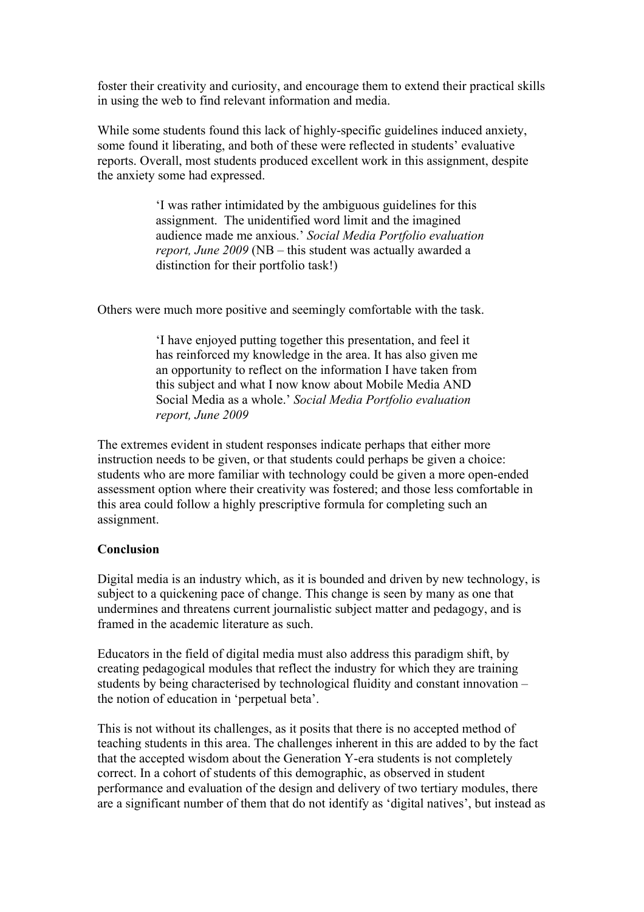foster their creativity and curiosity, and encourage them to extend their practical skills in using the web to find relevant information and media.

While some students found this lack of highly-specific guidelines induced anxiety, some found it liberating, and both of these were reflected in students' evaluative reports. Overall, most students produced excellent work in this assignment, despite the anxiety some had expressed.

> 'I was rather intimidated by the ambiguous guidelines for this assignment. The unidentified word limit and the imagined audience made me anxious.' *Social Media Portfolio evaluation report, June 2009* (NB – this student was actually awarded a distinction for their portfolio task!)

Others were much more positive and seemingly comfortable with the task.

'I have enjoyed putting together this presentation, and feel it has reinforced my knowledge in the area. It has also given me an opportunity to reflect on the information I have taken from this subject and what I now know about Mobile Media AND Social Media as a whole.' *Social Media Portfolio evaluation report, June 2009*

The extremes evident in student responses indicate perhaps that either more instruction needs to be given, or that students could perhaps be given a choice: students who are more familiar with technology could be given a more open-ended assessment option where their creativity was fostered; and those less comfortable in this area could follow a highly prescriptive formula for completing such an assignment.

# **Conclusion**

Digital media is an industry which, as it is bounded and driven by new technology, is subject to a quickening pace of change. This change is seen by many as one that undermines and threatens current journalistic subject matter and pedagogy, and is framed in the academic literature as such.

Educators in the field of digital media must also address this paradigm shift, by creating pedagogical modules that reflect the industry for which they are training students by being characterised by technological fluidity and constant innovation – the notion of education in 'perpetual beta'.

This is not without its challenges, as it posits that there is no accepted method of teaching students in this area. The challenges inherent in this are added to by the fact that the accepted wisdom about the Generation Y-era students is not completely correct. In a cohort of students of this demographic, as observed in student performance and evaluation of the design and delivery of two tertiary modules, there are a significant number of them that do not identify as 'digital natives', but instead as